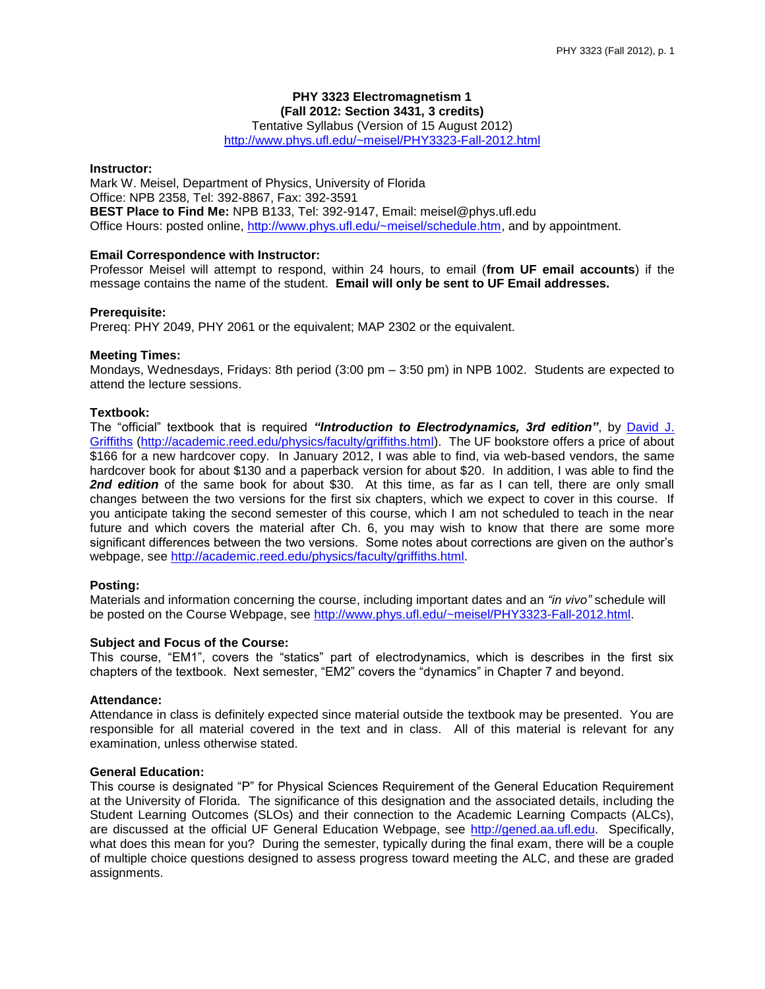# **PHY 3323 Electromagnetism 1 (Fall 2012: Section 3431, 3 credits)**

Tentative Syllabus (Version of 15 August 2012)

<http://www.phys.ufl.edu/~meisel/PHY3323-Fall-2012.html>

#### **Instructor:**

Mark W. Meisel, Department of Physics, University of Florida Office: NPB 2358, Tel: 392-8867, Fax: 392-3591 **BEST Place to Find Me:** NPB B133, Tel: 392-9147, Email: meisel@phys.ufl.edu Office Hours: posted online, [http://www.phys.ufl.edu/~meisel/schedule.htm,](http://www.phys.ufl.edu/~meisel/schedule.htm) and by appointment.

## **Email Correspondence with Instructor:**

Professor Meisel will attempt to respond, within 24 hours, to email (**from UF email accounts**) if the message contains the name of the student. **Email will only be sent to UF Email addresses.**

#### **Prerequisite:**

Prereq: PHY 2049, PHY 2061 or the equivalent; MAP 2302 or the equivalent.

## **Meeting Times:**

Mondays, Wednesdays, Fridays: 8th period (3:00 pm – 3:50 pm) in NPB 1002. Students are expected to attend the lecture sessions.

## **Textbook:**

The "official" textbook that is required *"Introduction to Electrodynamics, 3rd edition"*, by [David](http://academic.reed.edu/physics/faculty/griffiths.html) J. [Griffiths](http://academic.reed.edu/physics/faculty/griffiths.html) [\(http://academic.reed.edu/physics/faculty/griffiths.html\)](http://academic.reed.edu/physics/faculty/griffiths.html). The UF bookstore offers a price of about \$166 for a new hardcover copy. In January 2012, I was able to find, via web-based vendors, the same hardcover book for about \$130 and a paperback version for about \$20. In addition, I was able to find the **2nd edition** of the same book for about \$30. At this time, as far as I can tell, there are only small changes between the two versions for the first six chapters, which we expect to cover in this course. If you anticipate taking the second semester of this course, which I am not scheduled to teach in the near future and which covers the material after Ch. 6, you may wish to know that there are some more significant differences between the two versions. Some notes about corrections are given on the author's webpage, see [http://academic.reed.edu/physics/faculty/griffiths.html.](http://academic.reed.edu/physics/faculty/griffiths.html)

#### **Posting:**

Materials and information concerning the course, including important dates and an *"in vivo"* schedule will be posted on the Course Webpage, see [http://www.phys.ufl.edu/~meisel/PHY3323-Fall-2012.html.](http://www.phys.ufl.edu/~meisel/PHY3323-Fall-2012.html)

#### **Subject and Focus of the Course:**

This course, "EM1", covers the "statics" part of electrodynamics, which is describes in the first six chapters of the textbook. Next semester, "EM2" covers the "dynamics" in Chapter 7 and beyond.

## **Attendance:**

Attendance in class is definitely expected since material outside the textbook may be presented. You are responsible for all material covered in the text and in class. All of this material is relevant for any examination, unless otherwise stated.

### **General Education:**

This course is designated "P" for Physical Sciences Requirement of the General Education Requirement at the University of Florida. The significance of this designation and the associated details, including the Student Learning Outcomes (SLOs) and their connection to the Academic Learning Compacts (ALCs), are discussed at the official UF General Education Webpage, see [http://gened.aa.ufl.edu.](http://gened.aa.ufl.edu/) Specifically, what does this mean for you? During the semester, typically during the final exam, there will be a couple of multiple choice questions designed to assess progress toward meeting the ALC, and these are graded assignments.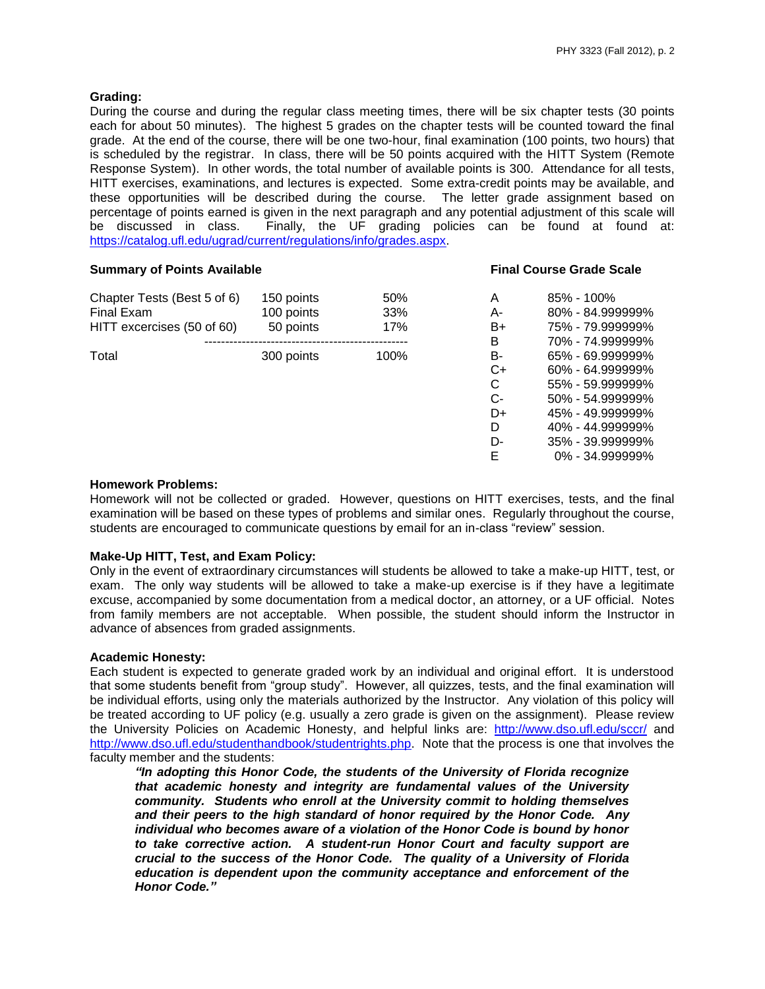## **Grading:**

During the course and during the regular class meeting times, there will be six chapter tests (30 points each for about 50 minutes). The highest 5 grades on the chapter tests will be counted toward the final grade. At the end of the course, there will be one two-hour, final examination (100 points, two hours) that is scheduled by the registrar. In class, there will be 50 points acquired with the HITT System (Remote Response System). In other words, the total number of available points is 300. Attendance for all tests, HITT exercises, examinations, and lectures is expected. Some extra-credit points may be available, and these opportunities will be described during the course. The letter grade assignment based on percentage of points earned is given in the next paragraph and any potential adjustment of this scale will<br>be discussed in class. Finally, the UF grading policies can be found at found at: Finally, the UF grading policies can be found at found at: [https://catalog.ufl.edu/ugrad/current/regulations/info/grades.aspx.](https://catalog.ufl.edu/ugrad/current/regulations/info/grades.aspx)

## **Summary of Points Available Final Course Grade Scale**

| Chapter Tests (Best 5 of 6) | 150 points | 50%  | A      | $85\% - 100\%$   |
|-----------------------------|------------|------|--------|------------------|
| Final Exam                  | 100 points | 33%  | А-     | 80% - 84.999999% |
| HITT excercises (50 of 60)  | 50 points  | 17%  | B+     | 75% - 79.999999% |
|                             |            |      | B      | 70% - 74.999999% |
| Total                       | 300 points | 100% | B-     | 65% - 69.999999% |
|                             |            |      | C+     | 60% - 64.999999% |
|                             |            |      | $\sim$ |                  |

| А  | 85% - 100%       |
|----|------------------|
| А- | 80% - 84.999999% |
| B+ | 75% - 79.999999% |
| R  | 70% - 74.999999% |
| в- | 65% - 69.999999% |
| C+ | 60% - 64.999999% |
| C  | 55% - 59.999999% |
| င- | 50% - 54.999999% |
| D+ | 45% - 49.999999% |
| D  | 40% - 44.999999% |
| D- | 35% - 39.999999% |
| F  | 0% - 34.999999%  |

## **Homework Problems:**

Homework will not be collected or graded. However, questions on HITT exercises, tests, and the final examination will be based on these types of problems and similar ones. Regularly throughout the course, students are encouraged to communicate questions by email for an in-class "review" session.

## **Make-Up HITT, Test, and Exam Policy:**

Only in the event of extraordinary circumstances will students be allowed to take a make-up HITT, test, or exam. The only way students will be allowed to take a make-up exercise is if they have a legitimate excuse, accompanied by some documentation from a medical doctor, an attorney, or a UF official. Notes from family members are not acceptable. When possible, the student should inform the Instructor in advance of absences from graded assignments.

## **Academic Honesty:**

Each student is expected to generate graded work by an individual and original effort. It is understood that some students benefit from "group study". However, all quizzes, tests, and the final examination will be individual efforts, using only the materials authorized by the Instructor. Any violation of this policy will be treated according to UF policy (e.g. usually a zero grade is given on the assignment). Please review the University Policies on Academic Honesty, and helpful links are: <http://www.dso.ufl.edu/sccr/> and [http://www.dso.ufl.edu/studenthandbook/studentrights.php.](http://www.dso.ufl.edu/studenthandbook/studentrights.php) Note that the process is one that involves the faculty member and the students:

*"In adopting this Honor Code, the students of the University of Florida recognize that academic honesty and integrity are fundamental values of the University community. Students who enroll at the University commit to holding themselves and their peers to the high standard of honor required by the Honor Code. Any individual who becomes aware of a violation of the Honor Code is bound by honor to take corrective action. A student-run Honor Court and faculty support are crucial to the success of the Honor Code. The quality of a University of Florida education is dependent upon the community acceptance and enforcement of the Honor Code."*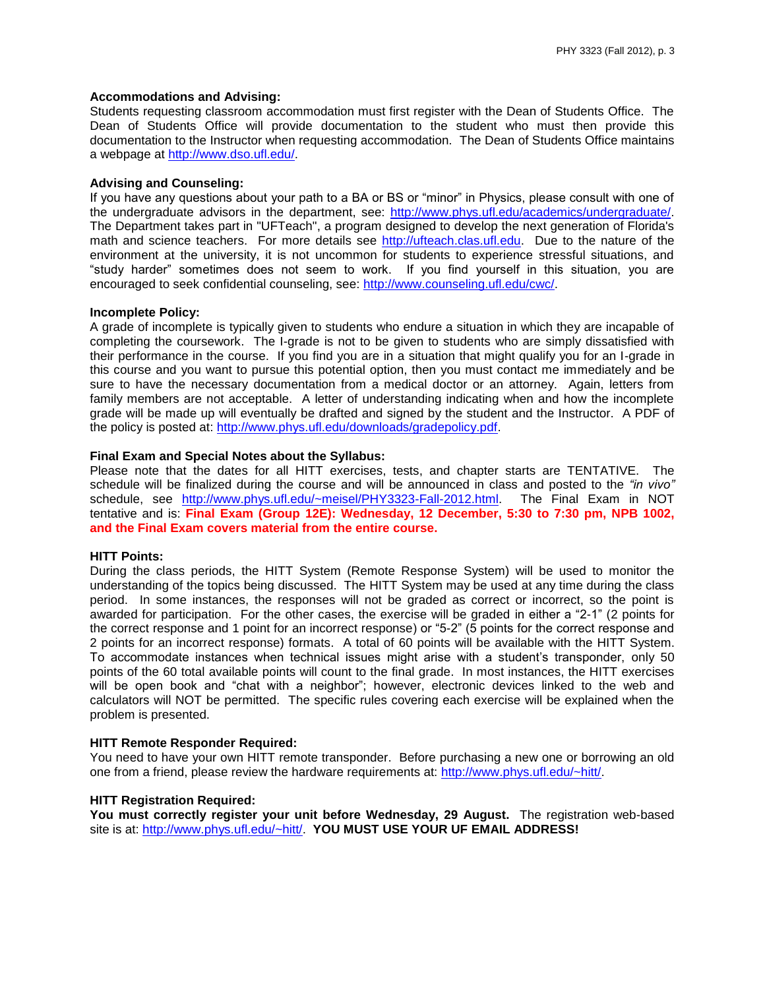## **Accommodations and Advising:**

Students requesting classroom accommodation must first register with the Dean of Students Office. The Dean of Students Office will provide documentation to the student who must then provide this documentation to the Instructor when requesting accommodation. The Dean of Students Office maintains a webpage at [http://www.dso.ufl.edu/.](http://www.dso.ufl.edu/)

## **Advising and Counseling:**

If you have any questions about your path to a BA or BS or "minor" in Physics, please consult with one of the undergraduate advisors in the department, see: [http://www.phys.ufl.edu/academics/undergraduate/.](http://www.phys.ufl.edu/academics/undergraduate/) The Department takes part in "UFTeach", a program designed to develop the next generation of Florida's math and science teachers. For more details see [http://ufteach.clas.ufl.edu.](http://ufteach.clas.ufl.edu/) Due to the nature of the environment at the university, it is not uncommon for students to experience stressful situations, and "study harder" sometimes does not seem to work. If you find yourself in this situation, you are encouraged to seek confidential counseling, see: [http://www.counseling.ufl.edu/cwc/.](http://www.counseling.ufl.edu/cwc/)

#### **Incomplete Policy:**

A grade of incomplete is typically given to students who endure a situation in which they are incapable of completing the coursework. The I-grade is not to be given to students who are simply dissatisfied with their performance in the course. If you find you are in a situation that might qualify you for an I-grade in this course and you want to pursue this potential option, then you must contact me immediately and be sure to have the necessary documentation from a medical doctor or an attorney. Again, letters from family members are not acceptable. A letter of understanding indicating when and how the incomplete grade will be made up will eventually be drafted and signed by the student and the Instructor. A PDF of the policy is posted at: [http://www.phys.ufl.edu/downloads/gradepolicy.pdf.](http://www.phys.ufl.edu/downloads/gradepolicy.pdf)

## **Final Exam and Special Notes about the Syllabus:**

Please note that the dates for all HITT exercises, tests, and chapter starts are TENTATIVE. The schedule will be finalized during the course and will be announced in class and posted to the *"in vivo"* schedule, see [http://www.phys.ufl.edu/~meisel/PHY3323-Fall-2012.html.](http://www.phys.ufl.edu/~meisel/PHY3323-Fall-2012.html) The Final Exam in NOT tentative and is: **Final Exam (Group 12E): Wednesday, 12 December, 5:30 to 7:30 pm, NPB 1002, and the Final Exam covers material from the entire course.**

#### **HITT Points:**

During the class periods, the HITT System (Remote Response System) will be used to monitor the understanding of the topics being discussed. The HITT System may be used at any time during the class period. In some instances, the responses will not be graded as correct or incorrect, so the point is awarded for participation. For the other cases, the exercise will be graded in either a "2-1" (2 points for the correct response and 1 point for an incorrect response) or "5-2" (5 points for the correct response and 2 points for an incorrect response) formats. A total of 60 points will be available with the HITT System. To accommodate instances when technical issues might arise with a student's transponder, only 50 points of the 60 total available points will count to the final grade. In most instances, the HITT exercises will be open book and "chat with a neighbor"; however, electronic devices linked to the web and calculators will NOT be permitted. The specific rules covering each exercise will be explained when the problem is presented.

#### **HITT Remote Responder Required:**

You need to have your own HITT remote transponder. Before purchasing a new one or borrowing an old one from a friend, please review the hardware requirements at: [http://www.phys.ufl.edu/~hitt/.](http://www.phys.ufl.edu/~hitt/)

### **HITT Registration Required:**

**You must correctly register your unit before Wednesday, 29 August.** The registration web-based site is at: [http://www.phys.ufl.edu/~hitt/.](http://www.phys.ufl.edu/~hitt/) **YOU MUST USE YOUR UF EMAIL ADDRESS!**